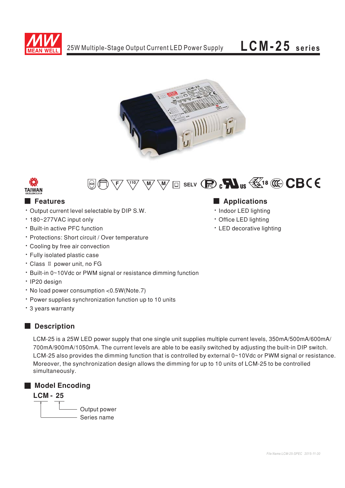







## ■  ■

- Output current level selectable by DIP S.W.
- 180~277VAC input only
- Built-in active PFC function
- Protections: Short circuit / Over temperature
- Cooling by free air convection
- · Fully isolated plastic case
- Class II power unit, no FG
- Built-in 0~10Vdc or PWM signal or resistance dimming function
- IP20 design
- No load power consumption < 0.5W (Note. 7)
- Power supplies synchronization function up to 10 units
- · 3 years warranty

# ■ Description

LCM-25 is a 25W LED power supply that one single unit supplies multiple current levels, 350mA/500mA/600mA/ 700mA/900mA/1050mA. The current levels are able to be easily switched by adjusting the built-in DIP switch. LCM-25 also provides the dimming function that is controlled by external 0~10Vdc or PWM signal or resistance. Moreover, the synchronization design allows the dimming for up to 10 units of LCM-25 to be controlled simultaneously.

## ■ **Model Encoding**

## **LCM - 25**

Output power Series name

## 

- Indoor LED lighting
- Office LED lighting
- LED decorative lighting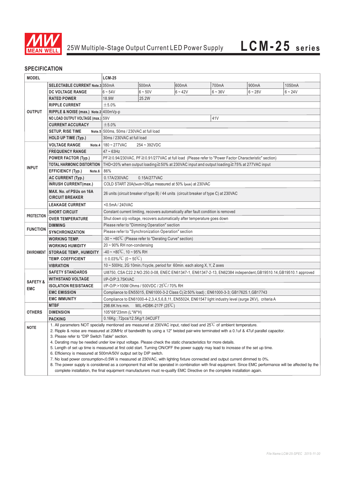

### **SPECIFICATION**

| <b>MODEL</b>        |                                                                                                                                          | <b>LCM-25</b>                                                                                                                                                                                                                                                                                                                                                                                                        |                                                                                                      |           |           |           |           |  |  |  |  |  |  |
|---------------------|------------------------------------------------------------------------------------------------------------------------------------------|----------------------------------------------------------------------------------------------------------------------------------------------------------------------------------------------------------------------------------------------------------------------------------------------------------------------------------------------------------------------------------------------------------------------|------------------------------------------------------------------------------------------------------|-----------|-----------|-----------|-----------|--|--|--|--|--|--|
|                     | <b>SELECTABLE CURRENT Note.3 350mA</b>                                                                                                   |                                                                                                                                                                                                                                                                                                                                                                                                                      | 500mA                                                                                                | 600mA     | 700mA     | 900mA     | 1050mA    |  |  |  |  |  |  |
|                     | <b>DC VOLTAGE RANGE</b>                                                                                                                  | $6 - 54V$                                                                                                                                                                                                                                                                                                                                                                                                            | $6 - 50V$                                                                                            | $6 - 42V$ | $6 - 36V$ | $6 - 28V$ | $6 - 24V$ |  |  |  |  |  |  |
|                     | <b>RATED POWER</b>                                                                                                                       | 18.9W<br>25.2W                                                                                                                                                                                                                                                                                                                                                                                                       |                                                                                                      |           |           |           |           |  |  |  |  |  |  |
|                     | <b>RIPPLE CURRENT</b>                                                                                                                    | ±5.0%                                                                                                                                                                                                                                                                                                                                                                                                                |                                                                                                      |           |           |           |           |  |  |  |  |  |  |
| <b>OUTPUT</b>       | RIPPLE & NOISE (max.) Note.2 400mVp-p                                                                                                    |                                                                                                                                                                                                                                                                                                                                                                                                                      |                                                                                                      |           |           |           |           |  |  |  |  |  |  |
|                     | NO LOAD OUTPUT VOLTAGE (max.) 59V                                                                                                        |                                                                                                                                                                                                                                                                                                                                                                                                                      |                                                                                                      |           | 41V       |           |           |  |  |  |  |  |  |
|                     | <b>CURRENT ACCURACY</b>                                                                                                                  | ±5.0%                                                                                                                                                                                                                                                                                                                                                                                                                |                                                                                                      |           |           |           |           |  |  |  |  |  |  |
|                     | <b>SETUP, RISE TIME</b>                                                                                                                  | Note.5 500ms, 50ms / 230VAC at full load                                                                                                                                                                                                                                                                                                                                                                             |                                                                                                      |           |           |           |           |  |  |  |  |  |  |
|                     | HOLD UP TIME (Typ.)                                                                                                                      | 30ms / 230VAC at full load                                                                                                                                                                                                                                                                                                                                                                                           |                                                                                                      |           |           |           |           |  |  |  |  |  |  |
|                     | <b>VOLTAGE RANGE</b><br>Note.4                                                                                                           | 180~277VAC                                                                                                                                                                                                                                                                                                                                                                                                           | $254 - 392VDC$                                                                                       |           |           |           |           |  |  |  |  |  |  |
|                     | <b>FREQUENCY RANGE</b>                                                                                                                   | $47 - 63$ Hz                                                                                                                                                                                                                                                                                                                                                                                                         |                                                                                                      |           |           |           |           |  |  |  |  |  |  |
|                     | <b>POWER FACTOR (Typ.)</b>                                                                                                               |                                                                                                                                                                                                                                                                                                                                                                                                                      | PF≧0.94/230VAC, PF≧0.91/277VAC at full load (Please refer to "Power Factor Characteristic" section)  |           |           |           |           |  |  |  |  |  |  |
|                     | <b>TOTAL HARMONIC DISTORTION</b>                                                                                                         |                                                                                                                                                                                                                                                                                                                                                                                                                      |                                                                                                      |           |           |           |           |  |  |  |  |  |  |
| <b>INPUT</b>        |                                                                                                                                          |                                                                                                                                                                                                                                                                                                                                                                                                                      | THD<20% when output loading $\geq$ 50% at 230VAC input and output loading $\geq$ 75% at 277VAC input |           |           |           |           |  |  |  |  |  |  |
|                     | <b>EFFICIENCY (Typ.)</b><br>Note.6                                                                                                       |                                                                                                                                                                                                                                                                                                                                                                                                                      | 86%                                                                                                  |           |           |           |           |  |  |  |  |  |  |
|                     | <b>AC CURRENT (Typ.)</b>                                                                                                                 |                                                                                                                                                                                                                                                                                                                                                                                                                      | 0.17A/230VAC<br>0.15A/277VAC                                                                         |           |           |           |           |  |  |  |  |  |  |
|                     | <b>INRUSH CURRENT(max.)</b>                                                                                                              |                                                                                                                                                                                                                                                                                                                                                                                                                      | COLD START 20A(twidth=260,us measured at 50% Ipeak) at 230VAC                                        |           |           |           |           |  |  |  |  |  |  |
|                     | MAX. No. of PSUs on 16A<br><b>CIRCUIT BREAKER</b>                                                                                        | 26 units (circuit breaker of type B) / 44 units (circuit breaker of type C) at 230VAC                                                                                                                                                                                                                                                                                                                                |                                                                                                      |           |           |           |           |  |  |  |  |  |  |
|                     | <b>LEAKAGE CURRENT</b>                                                                                                                   | <0.5mA/240VAC                                                                                                                                                                                                                                                                                                                                                                                                        |                                                                                                      |           |           |           |           |  |  |  |  |  |  |
|                     | <b>SHORT CIRCUIT</b>                                                                                                                     | Constant current limiting, recovers automatically after fault condition is removed                                                                                                                                                                                                                                                                                                                                   |                                                                                                      |           |           |           |           |  |  |  |  |  |  |
| <b>PROTECTION</b>   | <b>OVER TEMPERATURE</b>                                                                                                                  | Shut down o/p voltage, recovers automatically after temperature goes down                                                                                                                                                                                                                                                                                                                                            |                                                                                                      |           |           |           |           |  |  |  |  |  |  |
|                     | <b>DIMMING</b>                                                                                                                           | Please refer to "Dimming Operation" section                                                                                                                                                                                                                                                                                                                                                                          |                                                                                                      |           |           |           |           |  |  |  |  |  |  |
| <b>FUNCTION</b>     | <b>SYNCHRONIZATION</b>                                                                                                                   | Please refer to "Synchronization Operation" section                                                                                                                                                                                                                                                                                                                                                                  |                                                                                                      |           |           |           |           |  |  |  |  |  |  |
|                     | <b>WORKING TEMP.</b>                                                                                                                     | -30 $\sim$ +60°C (Please refer to "Derating Curve" section)                                                                                                                                                                                                                                                                                                                                                          |                                                                                                      |           |           |           |           |  |  |  |  |  |  |
|                     | <b>WORKING HUMIDITY</b>                                                                                                                  | 20 ~ 90% RH non-condensing                                                                                                                                                                                                                                                                                                                                                                                           |                                                                                                      |           |           |           |           |  |  |  |  |  |  |
| <b>ENVIRONMENT</b>  | <b>STORAGE TEMP., HUMIDITY</b>                                                                                                           | $-40 \sim +80^{\circ}$ C, 10 ~ 95% RH                                                                                                                                                                                                                                                                                                                                                                                |                                                                                                      |           |           |           |           |  |  |  |  |  |  |
|                     | <b>TEMP. COEFFICIENT</b>                                                                                                                 | $\pm$ 0.03%/°C (0 ~ 50°C)                                                                                                                                                                                                                                                                                                                                                                                            |                                                                                                      |           |           |           |           |  |  |  |  |  |  |
|                     | <b>VIBRATION</b>                                                                                                                         | 10 ~ 500Hz, 2G 10min./1cycle, period for 60min. each along X, Y, Z axes                                                                                                                                                                                                                                                                                                                                              |                                                                                                      |           |           |           |           |  |  |  |  |  |  |
|                     | <b>SAFETY STANDARDS</b>                                                                                                                  | UI8750, CSA C22.2 NO.250.0-08, ENEC EN61347-1, EN61347-2-13, EN62384 independent, GB19510.14, GB19510.1 approved                                                                                                                                                                                                                                                                                                     |                                                                                                      |           |           |           |           |  |  |  |  |  |  |
|                     | <b>WITHSTAND VOLTAGE</b>                                                                                                                 | I/P-O/P:3.75KVAC                                                                                                                                                                                                                                                                                                                                                                                                     |                                                                                                      |           |           |           |           |  |  |  |  |  |  |
| <b>SAFETY &amp;</b> | <b>ISOLATION RESISTANCE</b>                                                                                                              | I/P-O/P:>100M Ohms / 500VDC / 25°C/70% RH                                                                                                                                                                                                                                                                                                                                                                            |                                                                                                      |           |           |           |           |  |  |  |  |  |  |
| <b>EMC</b>          | <b>EMC EMISSION</b>                                                                                                                      | Compliance to EN55015, EN61000-3-2 Class C(≧50% load); EN61000-3-3; GB17625.1, GB17743                                                                                                                                                                                                                                                                                                                               |                                                                                                      |           |           |           |           |  |  |  |  |  |  |
|                     | <b>EMC IMMUNITY</b>                                                                                                                      | Compliance to EN61000-4-2,3,4,5,6,8,11, EN55024, EN61547 light industry level (surge 2KV), criteria A                                                                                                                                                                                                                                                                                                                |                                                                                                      |           |           |           |           |  |  |  |  |  |  |
|                     | <b>MTBF</b>                                                                                                                              | 298.6K hrs min.<br>MIL-HDBK-217F $(25^{\circ}C)$                                                                                                                                                                                                                                                                                                                                                                     |                                                                                                      |           |           |           |           |  |  |  |  |  |  |
| <b>OTHERS</b>       | <b>DIMENSION</b>                                                                                                                         | 105*68*23mm (L*W*H)                                                                                                                                                                                                                                                                                                                                                                                                  |                                                                                                      |           |           |           |           |  |  |  |  |  |  |
|                     | <b>PACKING</b>                                                                                                                           | 0.16Kg; 72pcs/12.5Kg/1.04CUFT                                                                                                                                                                                                                                                                                                                                                                                        |                                                                                                      |           |           |           |           |  |  |  |  |  |  |
| <b>NOTE</b>         | 1. All parameters NOT specially mentioned are measured at 230VAC input, rated load and 25 <sup>°C</sup> of ambient temperature.          |                                                                                                                                                                                                                                                                                                                                                                                                                      |                                                                                                      |           |           |           |           |  |  |  |  |  |  |
|                     | 2. Ripple & noise are measured at 20MHz of bandwidth by using a 12" twisted pair-wire terminated with a 0.1uf & 47uf parallel capacitor. |                                                                                                                                                                                                                                                                                                                                                                                                                      |                                                                                                      |           |           |           |           |  |  |  |  |  |  |
|                     | 3. Please refer to "DIP Switch Table" section.                                                                                           |                                                                                                                                                                                                                                                                                                                                                                                                                      |                                                                                                      |           |           |           |           |  |  |  |  |  |  |
|                     | 4. Derating may be needed under low input voltage. Please check the static characteristics for more details.                             |                                                                                                                                                                                                                                                                                                                                                                                                                      |                                                                                                      |           |           |           |           |  |  |  |  |  |  |
|                     | 5. Length of set up time is measured at first cold start. Turning ON/OFF the power supply may lead to increase of the set up time.       |                                                                                                                                                                                                                                                                                                                                                                                                                      |                                                                                                      |           |           |           |           |  |  |  |  |  |  |
|                     | 6. Efficiency is measured at 500mA/50V output set by DIP switch.                                                                         |                                                                                                                                                                                                                                                                                                                                                                                                                      |                                                                                                      |           |           |           |           |  |  |  |  |  |  |
|                     |                                                                                                                                          | 7. No load power consumption<0.5W is measured at 230VAC, with lighting fixture connected and output current dimmed to 0%.<br>8. The power supply is considered as a component that will be operated in combination with final equipment. Since EMC performance will be affected by the<br>complete installation, the final equipment manufacturers must re-qualify EMC Directive on the complete installation again. |                                                                                                      |           |           |           |           |  |  |  |  |  |  |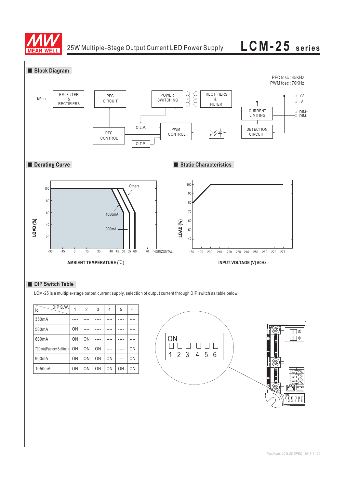

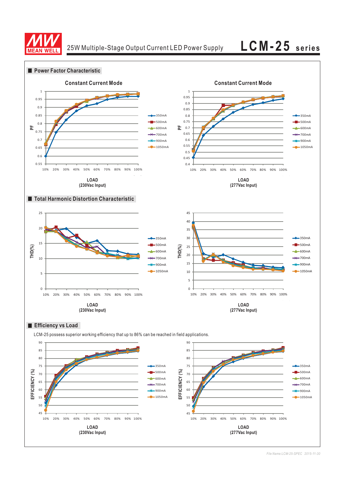



*File Name:LCM-25-SPEC 2015-11-30*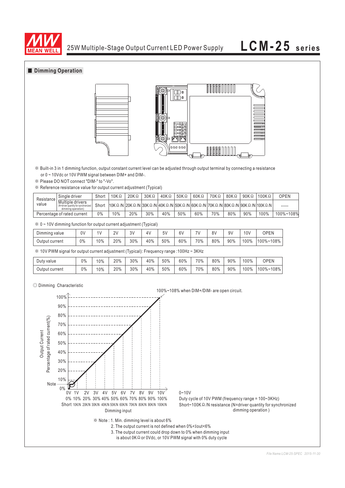

### **Dimming Operation**





※ Built-in 3 in 1 dimming function, output constant current level can be adjusted through output terminal by connecting a resistance or 0 ~ 10Vdc or 10V PWM signal between DIM+ and DIM-.

※ Please DO NOT connect "DIM-" to "-Vo".

※ Reference resistance value for output current adjustment (Typical)

| Resistance<br>value         | Single driver                                                                 | Short | $10K\Omega$ | $20K\Omega$                                                                                         | $30K\Omega$ | $40K\Omega$ | $50K\Omega$ | 60KΩ | 70KΩ | 80KΩ | $90K\Omega$ | $100K\Omega$ | OPEN      |
|-----------------------------|-------------------------------------------------------------------------------|-------|-------------|-----------------------------------------------------------------------------------------------------|-------------|-------------|-------------|------|------|------|-------------|--------------|-----------|
|                             | Multiple drivers<br>(N=driver quantity for synchronized<br>dimming operation) | Short |             | 10K Ω /N  20K Ω /N  30K Ω /N  40K Ω /N  50K Ω /N  60K Ω /N  70K Ω /N  80K Ω /N  90K Ω /N  100K Ω /N |             |             |             |      |      |      |             |              | -----     |
| Percentage of rated current |                                                                               | 0%    | 10%         | 20%                                                                                                 | 30%         | 40%         | 50%         | 60%  | 70%  | 80%  | 90%         | 100%         | 100%~108% |

|  |  |  |  |  |  |  |  | $\%$ 0 ~ 10V dimming function for output current adjustment (Typical) |  |
|--|--|--|--|--|--|--|--|-----------------------------------------------------------------------|--|
|--|--|--|--|--|--|--|--|-----------------------------------------------------------------------|--|

| Dimming value  | 0V | 1 <sub>1</sub> | 21<br><u>. v</u> | 3V<br>◡ | 4٧  | 51  | 6V  |     | 8V  | Q <sub>1</sub><br>ا ت | 10 <sub>b</sub> | <b>OPEN</b>           |
|----------------|----|----------------|------------------|---------|-----|-----|-----|-----|-----|-----------------------|-----------------|-----------------------|
| Output current | 0% | 10%            | 20%              | 30%     | 40% | 50% | 60% | 70% | 80% | 90%                   | 100%            | $100\%$ ~1<br>·108% l |

※ 10V PWM signal for output current adjustment (Typical): Frequency range :100Hz ~ 3KHz

| Duty value     | 0% | $0\%$ | 20% | 30% | 40% | 50% | 60% | 70% | 80% | 90% | 100% | <b>OPEN</b> |
|----------------|----|-------|-----|-----|-----|-----|-----|-----|-----|-----|------|-------------|
| Output current | 0% | 10%   | 20% | 30% | 40% | 50% | 60% | 70% | 80% | 90% | 100% | 100%~108%   |